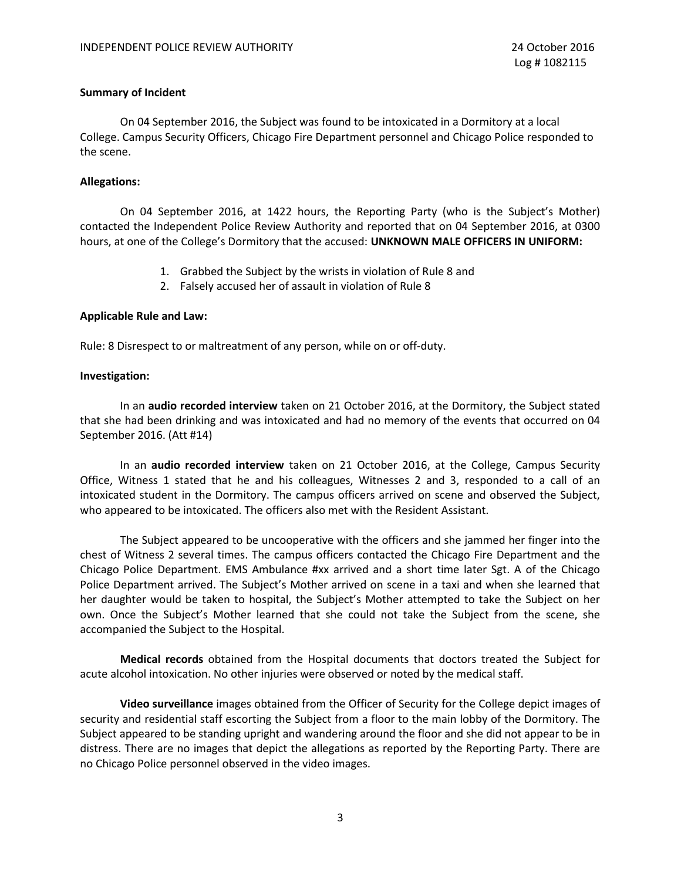## **Summary of Incident**

On 04 September 2016, the Subject was found to be intoxicated in a Dormitory at a local College. Campus Security Officers, Chicago Fire Department personnel and Chicago Police responded to the scene.

## **Allegations:**

On 04 September 2016, at 1422 hours, the Reporting Party (who is the Subject's Mother) contacted the Independent Police Review Authority and reported that on 04 September 2016, at 0300 hours, at one of the College's Dormitory that the accused: **UNKNOWN MALE OFFICERS IN UNIFORM:**

- 1. Grabbed the Subject by the wrists in violation of Rule 8 and
- 2. Falsely accused her of assault in violation of Rule 8

#### **Applicable Rule and Law:**

Rule: 8 Disrespect to or maltreatment of any person, while on or off-duty.

#### **Investigation:**

In an **audio recorded interview** taken on 21 October 2016, at the Dormitory, the Subject stated that she had been drinking and was intoxicated and had no memory of the events that occurred on 04 September 2016. (Att #14)

In an **audio recorded interview** taken on 21 October 2016, at the College, Campus Security Office, Witness 1 stated that he and his colleagues, Witnesses 2 and 3, responded to a call of an intoxicated student in the Dormitory. The campus officers arrived on scene and observed the Subject, who appeared to be intoxicated. The officers also met with the Resident Assistant.

The Subject appeared to be uncooperative with the officers and she jammed her finger into the chest of Witness 2 several times. The campus officers contacted the Chicago Fire Department and the Chicago Police Department. EMS Ambulance #xx arrived and a short time later Sgt. A of the Chicago Police Department arrived. The Subject's Mother arrived on scene in a taxi and when she learned that her daughter would be taken to hospital, the Subject's Mother attempted to take the Subject on her own. Once the Subject's Mother learned that she could not take the Subject from the scene, she accompanied the Subject to the Hospital.

**Medical records** obtained from the Hospital documents that doctors treated the Subject for acute alcohol intoxication. No other injuries were observed or noted by the medical staff.

**Video surveillance** images obtained from the Officer of Security for the College depict images of security and residential staff escorting the Subject from a floor to the main lobby of the Dormitory. The Subject appeared to be standing upright and wandering around the floor and she did not appear to be in distress. There are no images that depict the allegations as reported by the Reporting Party. There are no Chicago Police personnel observed in the video images.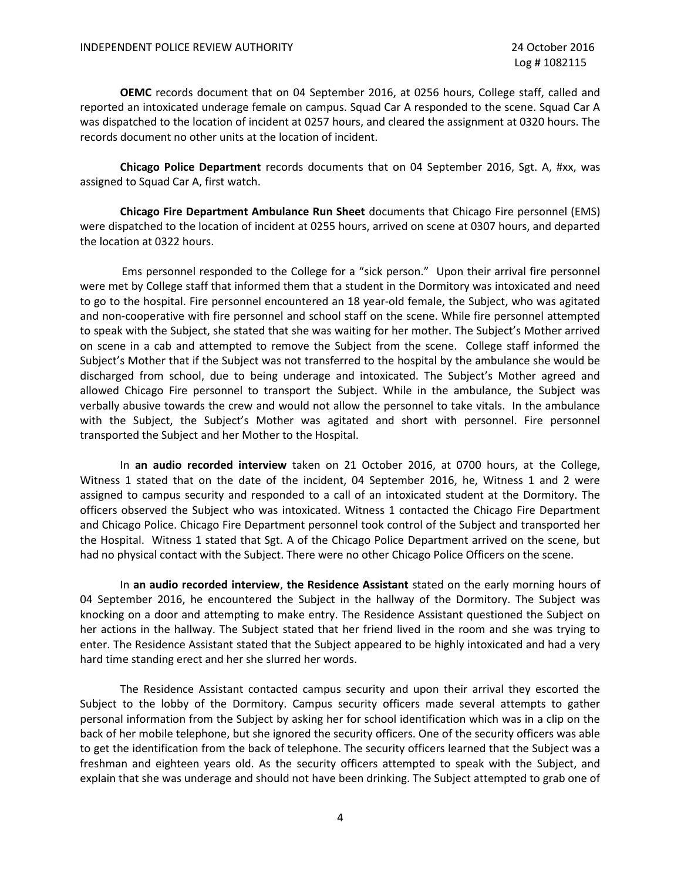**OEMC** records document that on 04 September 2016, at 0256 hours, College staff, called and reported an intoxicated underage female on campus. Squad Car A responded to the scene. Squad Car A was dispatched to the location of incident at 0257 hours, and cleared the assignment at 0320 hours. The records document no other units at the location of incident.

**Chicago Police Department** records documents that on 04 September 2016, Sgt. A, #xx, was assigned to Squad Car A, first watch.

**Chicago Fire Department Ambulance Run Sheet** documents that Chicago Fire personnel (EMS) were dispatched to the location of incident at 0255 hours, arrived on scene at 0307 hours, and departed the location at 0322 hours.

Ems personnel responded to the College for a "sick person." Upon their arrival fire personnel were met by College staff that informed them that a student in the Dormitory was intoxicated and need to go to the hospital. Fire personnel encountered an 18 year-old female, the Subject, who was agitated and non-cooperative with fire personnel and school staff on the scene. While fire personnel attempted to speak with the Subject, she stated that she was waiting for her mother. The Subject's Mother arrived on scene in a cab and attempted to remove the Subject from the scene. College staff informed the Subject's Mother that if the Subject was not transferred to the hospital by the ambulance she would be discharged from school, due to being underage and intoxicated. The Subject's Mother agreed and allowed Chicago Fire personnel to transport the Subject. While in the ambulance, the Subject was verbally abusive towards the crew and would not allow the personnel to take vitals. In the ambulance with the Subject, the Subject's Mother was agitated and short with personnel. Fire personnel transported the Subject and her Mother to the Hospital.

In **an audio recorded interview** taken on 21 October 2016, at 0700 hours, at the College, Witness 1 stated that on the date of the incident, 04 September 2016, he, Witness 1 and 2 were assigned to campus security and responded to a call of an intoxicated student at the Dormitory. The officers observed the Subject who was intoxicated. Witness 1 contacted the Chicago Fire Department and Chicago Police. Chicago Fire Department personnel took control of the Subject and transported her the Hospital. Witness 1 stated that Sgt. A of the Chicago Police Department arrived on the scene, but had no physical contact with the Subject. There were no other Chicago Police Officers on the scene.

In **an audio recorded interview**, **the Residence Assistant** stated on the early morning hours of 04 September 2016, he encountered the Subject in the hallway of the Dormitory. The Subject was knocking on a door and attempting to make entry. The Residence Assistant questioned the Subject on her actions in the hallway. The Subject stated that her friend lived in the room and she was trying to enter. The Residence Assistant stated that the Subject appeared to be highly intoxicated and had a very hard time standing erect and her she slurred her words.

The Residence Assistant contacted campus security and upon their arrival they escorted the Subject to the lobby of the Dormitory. Campus security officers made several attempts to gather personal information from the Subject by asking her for school identification which was in a clip on the back of her mobile telephone, but she ignored the security officers. One of the security officers was able to get the identification from the back of telephone. The security officers learned that the Subject was a freshman and eighteen years old. As the security officers attempted to speak with the Subject, and explain that she was underage and should not have been drinking. The Subject attempted to grab one of